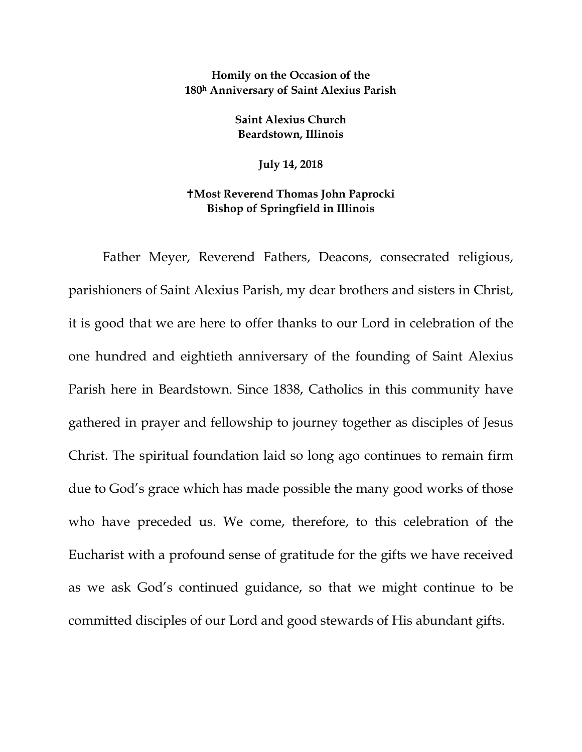## **Homily on the Occasion of the 180h Anniversary of Saint Alexius Parish**

**Saint Alexius Church Beardstown, Illinois**

**July 14, 2018**

## **Most Reverend Thomas John Paprocki Bishop of Springfield in Illinois**

Father Meyer, Reverend Fathers, Deacons, consecrated religious, parishioners of Saint Alexius Parish, my dear brothers and sisters in Christ, it is good that we are here to offer thanks to our Lord in celebration of the one hundred and eightieth anniversary of the founding of Saint Alexius Parish here in Beardstown. Since 1838, Catholics in this community have gathered in prayer and fellowship to journey together as disciples of Jesus Christ. The spiritual foundation laid so long ago continues to remain firm due to God's grace which has made possible the many good works of those who have preceded us. We come, therefore, to this celebration of the Eucharist with a profound sense of gratitude for the gifts we have received as we ask God's continued guidance, so that we might continue to be committed disciples of our Lord and good stewards of His abundant gifts.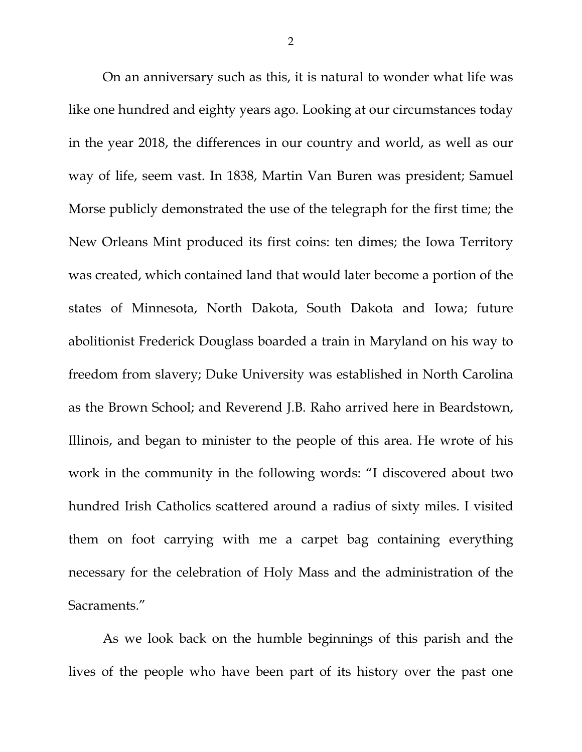On an anniversary such as this, it is natural to wonder what life was like one hundred and eighty years ago. Looking at our circumstances today in the year 2018, the differences in our country and world, as well as our way of life, seem vast. In 1838, Martin Van Buren was president; Samuel Morse publicly demonstrated the use of the telegraph for the first time; the New Orleans Mint produced its first coins: ten dimes; the Iowa Territory was created, which contained land that would later become a portion of the states of Minnesota, North Dakota, South Dakota and Iowa; future abolitionist Frederick Douglass boarded a train in Maryland on his way to freedom from slavery; Duke University was established in North Carolina as the Brown School; and Reverend J.B. Raho arrived here in Beardstown, Illinois, and began to minister to the people of this area. He wrote of his work in the community in the following words: "I discovered about two hundred Irish Catholics scattered around a radius of sixty miles. I visited them on foot carrying with me a carpet bag containing everything necessary for the celebration of Holy Mass and the administration of the Sacraments."

As we look back on the humble beginnings of this parish and the lives of the people who have been part of its history over the past one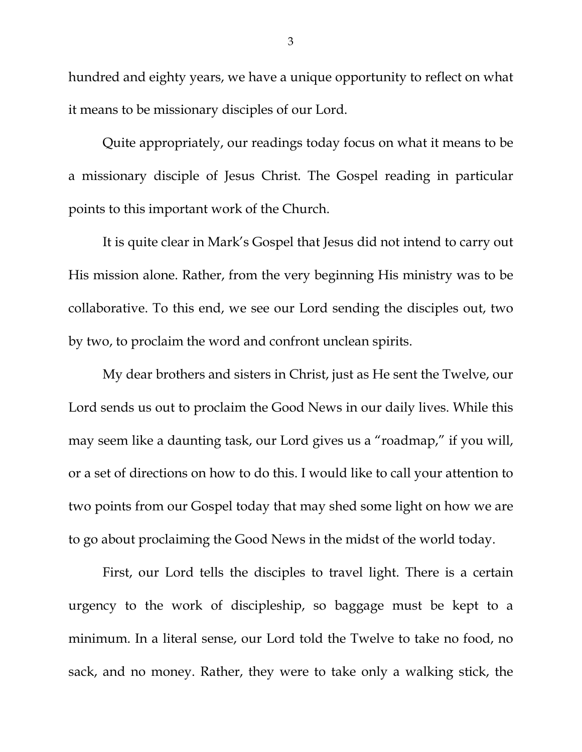hundred and eighty years, we have a unique opportunity to reflect on what it means to be missionary disciples of our Lord.

Quite appropriately, our readings today focus on what it means to be a missionary disciple of Jesus Christ. The Gospel reading in particular points to this important work of the Church.

It is quite clear in Mark's Gospel that Jesus did not intend to carry out His mission alone. Rather, from the very beginning His ministry was to be collaborative. To this end, we see our Lord sending the disciples out, two by two, to proclaim the word and confront unclean spirits.

My dear brothers and sisters in Christ, just as He sent the Twelve, our Lord sends us out to proclaim the Good News in our daily lives. While this may seem like a daunting task, our Lord gives us a "roadmap," if you will, or a set of directions on how to do this. I would like to call your attention to two points from our Gospel today that may shed some light on how we are to go about proclaiming the Good News in the midst of the world today.

First, our Lord tells the disciples to travel light. There is a certain urgency to the work of discipleship, so baggage must be kept to a minimum. In a literal sense, our Lord told the Twelve to take no food, no sack, and no money. Rather, they were to take only a walking stick, the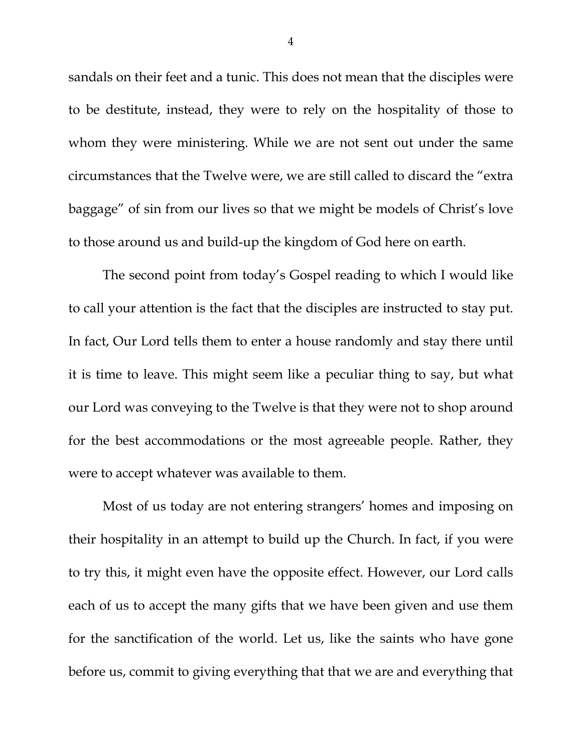sandals on their feet and a tunic. This does not mean that the disciples were to be destitute, instead, they were to rely on the hospitality of those to whom they were ministering. While we are not sent out under the same circumstances that the Twelve were, we are still called to discard the "extra baggage" of sin from our lives so that we might be models of Christ's love to those around us and build-up the kingdom of God here on earth.

The second point from today's Gospel reading to which I would like to call your attention is the fact that the disciples are instructed to stay put. In fact, Our Lord tells them to enter a house randomly and stay there until it is time to leave. This might seem like a peculiar thing to say, but what our Lord was conveying to the Twelve is that they were not to shop around for the best accommodations or the most agreeable people. Rather, they were to accept whatever was available to them.

Most of us today are not entering strangers' homes and imposing on their hospitality in an attempt to build up the Church. In fact, if you were to try this, it might even have the opposite effect. However, our Lord calls each of us to accept the many gifts that we have been given and use them for the sanctification of the world. Let us, like the saints who have gone before us, commit to giving everything that that we are and everything that

4